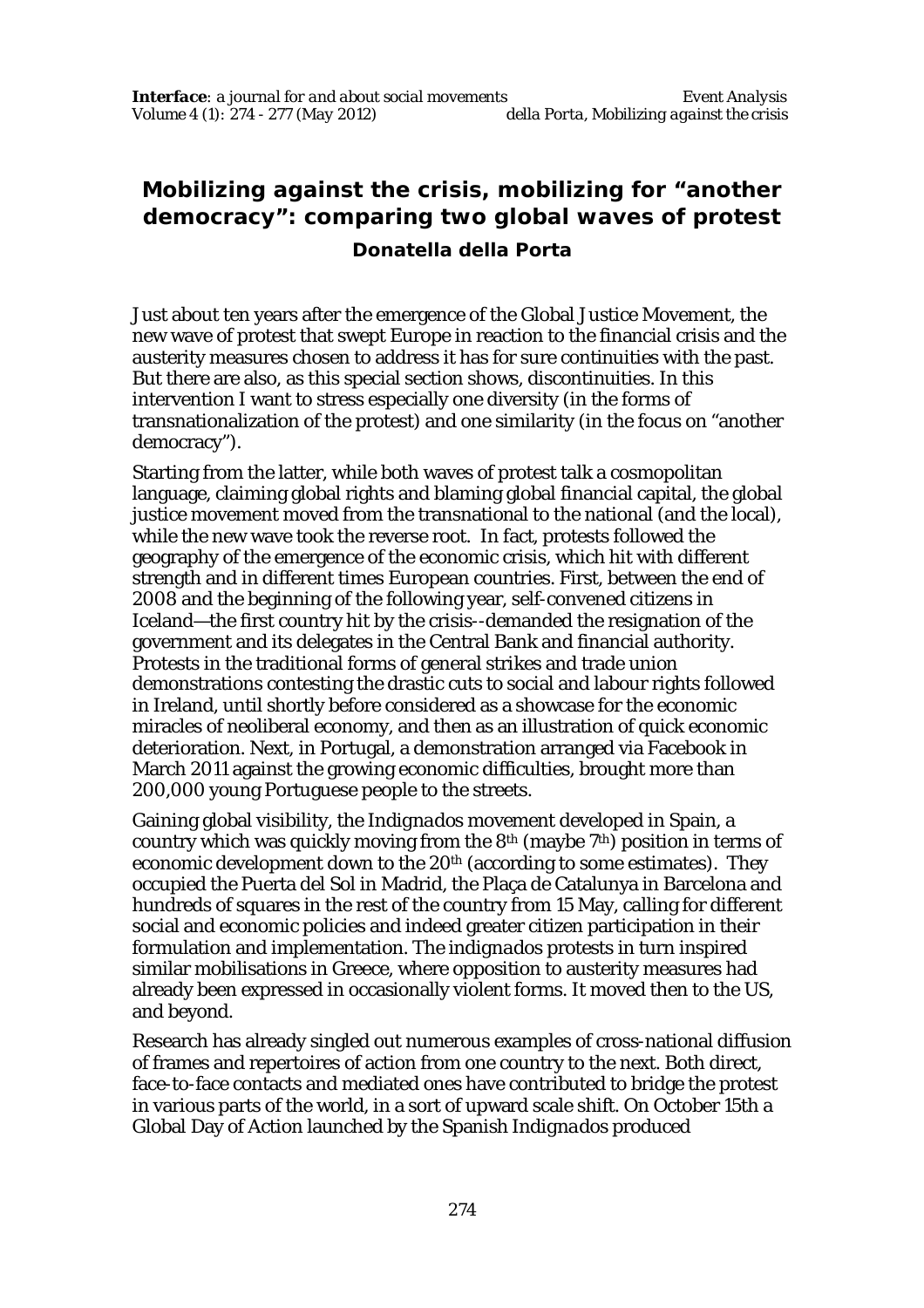## **Mobilizing against the crisis, mobilizing for "another democracy": comparing two global waves of protest**

## **Donatella della Porta**

Just about ten years after the emergence of the Global Justice Movement, the new wave of protest that swept Europe in reaction to the financial crisis and the austerity measures chosen to address it has for sure continuities with the past. But there are also, as this special section shows, discontinuities. In this intervention I want to stress especially one diversity (in the forms of transnationalization of the protest) and one similarity (in the focus on "another democracy").

Starting from the latter, while both waves of protest talk a cosmopolitan language, claiming global rights and blaming global financial capital, the global justice movement moved from the transnational to the national (and the local), while the new wave took the reverse root. In fact, protests followed the geography of the emergence of the economic crisis, which hit with different strength and in different times European countries. First, between the end of 2008 and the beginning of the following year, self-convened citizens in Iceland—the first country hit by the crisis--demanded the resignation of the government and its delegates in the Central Bank and financial authority. Protests in the traditional forms of general strikes and trade union demonstrations contesting the drastic cuts to social and labour rights followed in Ireland, until shortly before considered as a showcase for the economic miracles of neoliberal economy, and then as an illustration of quick economic deterioration. Next, in Portugal, a demonstration arranged via Facebook in March 2011 against the growing economic difficulties, brought more than 200,000 young Portuguese people to the streets.

Gaining global visibility, the *Indignados* movement developed in Spain, a country which was quickly moving from the 8th (maybe 7 th) position in terms of economic development down to the 20<sup>th</sup> (according to some estimates). They occupied the Puerta del Sol in Madrid, the Plaça de Catalunya in Barcelona and hundreds of squares in the rest of the country from 15 May, calling for different social and economic policies and indeed greater citizen participation in their formulation and implementation. The *indignados* protests in turn inspired similar mobilisations in Greece, where opposition to austerity measures had already been expressed in occasionally violent forms. It moved then to the US, and beyond.

Research has already singled out numerous examples of cross-national diffusion of frames and repertoires of action from one country to the next. Both direct, face-to-face contacts and mediated ones have contributed to bridge the protest in various parts of the world, in a sort of upward scale shift. On October 15th a Global Day of Action launched by the Spanish *Indignados* produced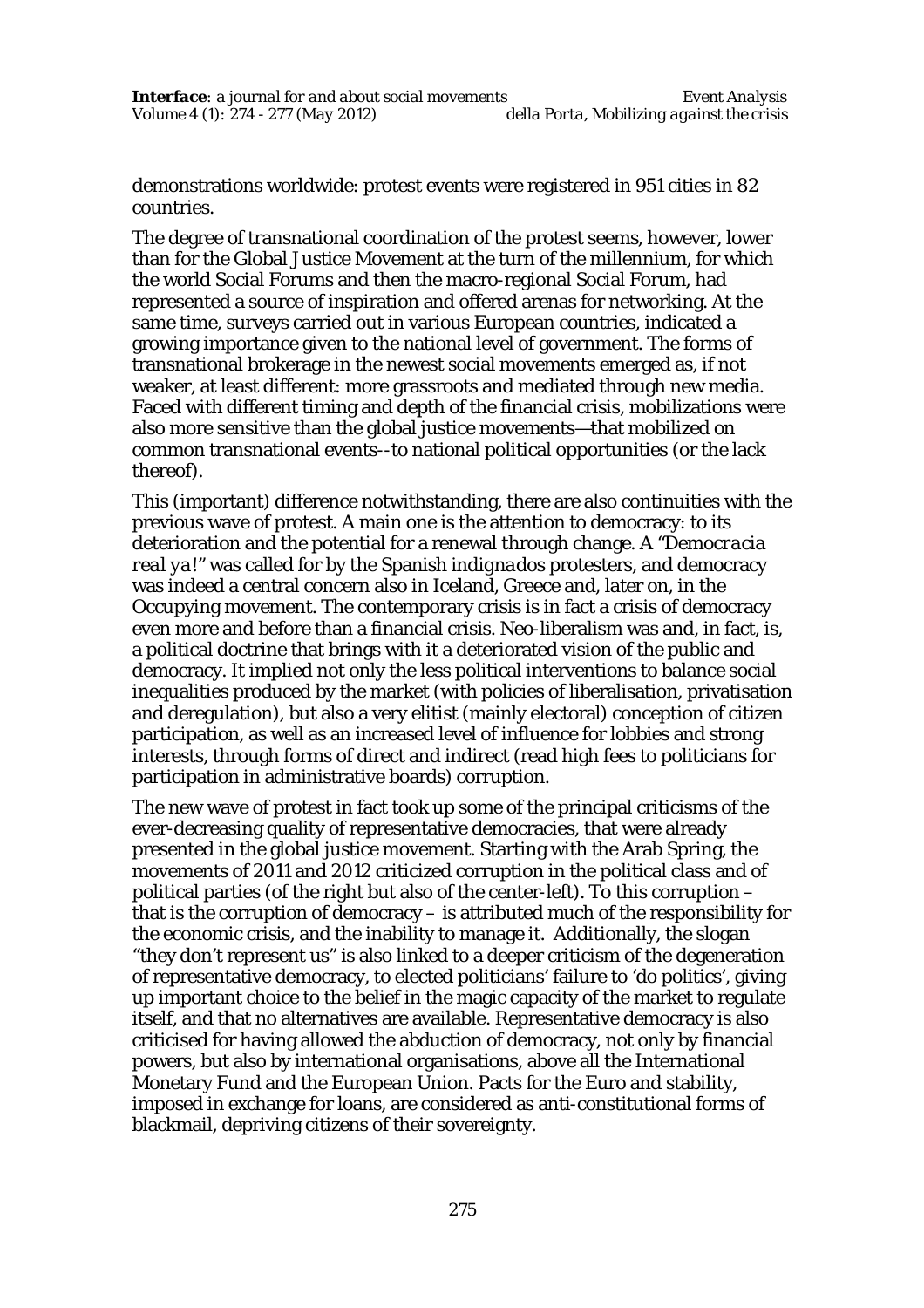demonstrations worldwide: protest events were registered in 951 cities in 82 countries.

The degree of transnational coordination of the protest seems, however, lower than for the Global Justice Movement at the turn of the millennium, for which the world Social Forums and then the macro-regional Social Forum, had represented a source of inspiration and offered arenas for networking. At the same time, surveys carried out in various European countries, indicated a growing importance given to the national level of government. The forms of transnational brokerage in the newest social movements emerged as, if not weaker, at least different: more grassroots and mediated through new media. Faced with different timing and depth of the financial crisis, mobilizations were also more sensitive than the global justice movements—that mobilized on common transnational events--to national political opportunities (or the lack thereof).

This (important) difference notwithstanding, there are also continuities with the previous wave of protest. A main one is the attention to democracy: to its deterioration and the potential for a renewal through change. A "*Democracia real ya!"* was called for by the Spanish *indignados* protesters, and democracy was indeed a central concern also in Iceland, Greece and, later on, in the Occupying movement. The contemporary crisis is in fact a crisis of democracy even more and before than a financial crisis. Neo-liberalism was and, in fact, is, a political doctrine that brings with it a deteriorated vision of the public and democracy. It implied not only the less political interventions to balance social inequalities produced by the market (with policies of liberalisation, privatisation and deregulation), but also a very elitist (mainly electoral) conception of citizen participation, as well as an increased level of influence for lobbies and strong interests, through forms of direct and indirect (read high fees to politicians for participation in administrative boards) corruption.

The new wave of protest in fact took up some of the principal criticisms of the ever-decreasing quality of representative democracies, that were already presented in the global justice movement. Starting with the Arab Spring, the movements of 2011 and 2012 criticized corruption in the political class and of political parties (of the right but also of the center-left). To this corruption – that is the corruption of democracy – is attributed much of the responsibility for the economic crisis, and the inability to manage it. Additionally, the slogan "they don't represent us" is also linked to a deeper criticism of the degeneration of representative democracy, to elected politicians' failure to 'do politics', giving up important choice to the belief in the magic capacity of the market to regulate itself, and that no alternatives are available. Representative democracy is also criticised for having allowed the abduction of democracy, not only by financial powers, but also by international organisations, above all the International Monetary Fund and the European Union. Pacts for the Euro and stability, imposed in exchange for loans, are considered as anti-constitutional forms of blackmail, depriving citizens of their sovereignty.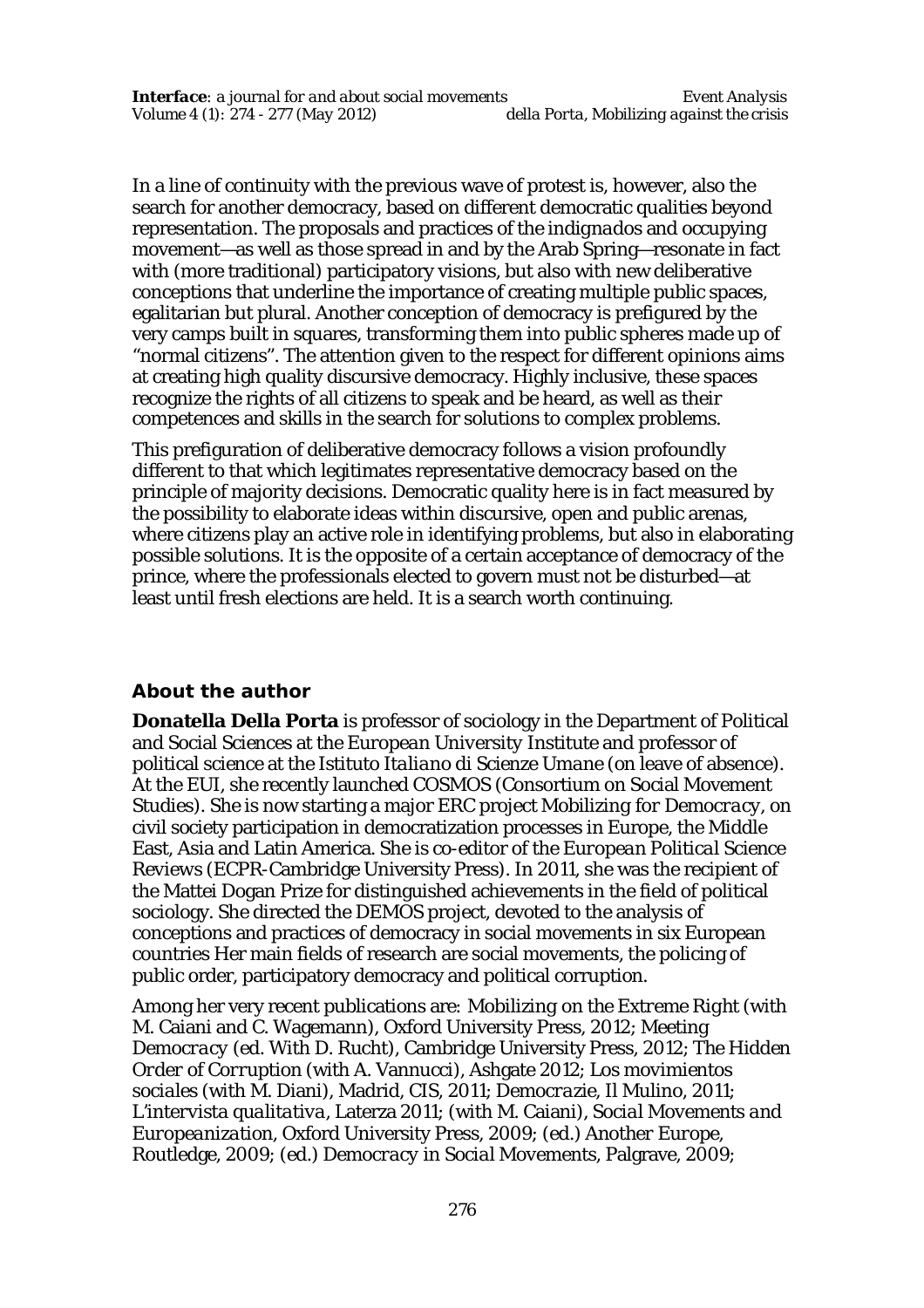In a line of continuity with the previous wave of protest is, however, also the search for another democracy, based on different democratic qualities beyond representation. The proposals and practices of the *indignados* and occupying movement—as well as those spread in and by the Arab Spring—resonate in fact with (more traditional) participatory visions, but also with new deliberative conceptions that underline the importance of creating multiple public spaces, egalitarian but plural. Another conception of democracy is prefigured by the very camps built in squares, transforming them into public spheres made up of "normal citizens". The attention given to the respect for different opinions aims at creating high quality discursive democracy. Highly inclusive, these spaces recognize the rights of all citizens to speak and be heard, as well as their competences and skills in the search for solutions to complex problems.

This prefiguration of deliberative democracy follows a vision profoundly different to that which legitimates representative democracy based on the principle of majority decisions. Democratic quality here is in fact measured by the possibility to elaborate ideas within discursive, open and public arenas, where citizens play an active role in identifying problems, but also in elaborating possible solutions. It is the opposite of a certain acceptance of democracy of the prince, where the professionals elected to govern must not be disturbed—at least until fresh elections are held. It is a search worth continuing.

## **About the author**

**Donatella Della Porta** is professor of sociology in the Department of Political and Social Sciences at the *European University Institute* and professor of political science at the *Istituto Italiano di Scienze Umane* (on leave of absence). At the EUI, she recently launched COSMOS (Consortium on Social Movement Studies). She is now starting a major ERC project *Mobilizing for Democracy*, on civil society participation in democratization processes in Europe, the Middle East, Asia and Latin America. She is co-editor of the *European Political Science Reviews* (ECPR-Cambridge University Press). In 2011, she was the recipient of the Mattei Dogan Prize for distinguished achievements in the field of political sociology. She directed the DEMOS project, devoted to the analysis of conceptions and practices of democracy in social movements in six European countries Her main fields of research are social movements, the policing of public order, participatory democracy and political corruption.

Among her very recent publications are*: Mobilizing on the Extreme Right* (with M. Caiani and C. Wagemann), Oxford University Press, 2012; *Meeting Democracy* (ed. With D. Rucht), Cambridge University Press, 2012; *The Hidden Order of Corruption* (with A. Vannucci), Ashgate 2012; *Los movimientos sociales* (with M. Diani), Madrid, CIS, 2011; *Democrazie*, Il Mulino, 2011; *L'intervista qualitativa*, Laterza 2011; (with M. Caiani), *Social Movements and Europeanization*, Oxford University Press, 2009; (ed.) *Another Europe*, Routledge, 2009; (ed.) *Democracy in Social Movements*, Palgrave, 2009;